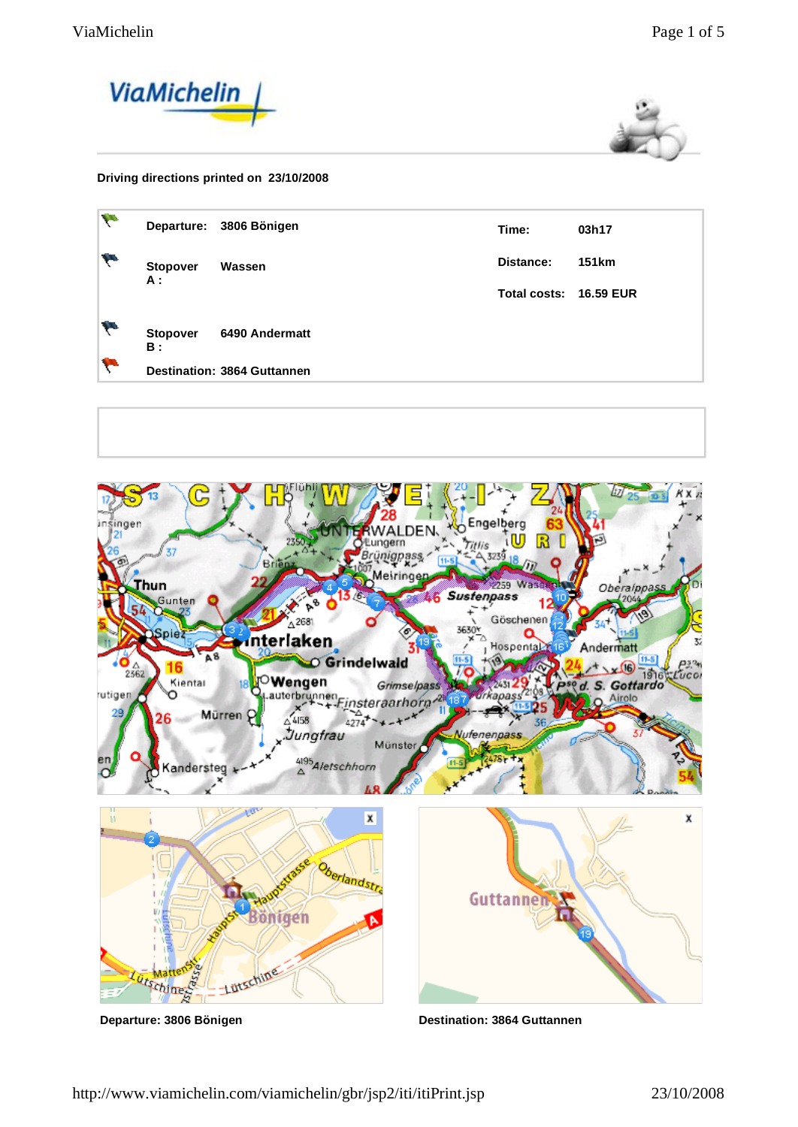



## **Driving directions printed on 23/10/2008**

| W  |                               | Departure: 3806 Bönigen            | Time:                  | 03h17        |
|----|-------------------------------|------------------------------------|------------------------|--------------|
| h  | <b>Stopover</b><br><b>A</b> : | Wassen                             | Distance:              | <b>151km</b> |
|    |                               |                                    | Total costs: 16.59 EUR |              |
| i. | <b>Stopover</b><br><b>B</b> : | 6490 Andermatt                     |                        |              |
| ÷  |                               | <b>Destination: 3864 Guttannen</b> |                        |              |
|    |                               |                                    |                        |              |



http://www.viamichelin.com/viamichelin/gbr/jsp2/iti/itiPrint.jsp 23/10/2008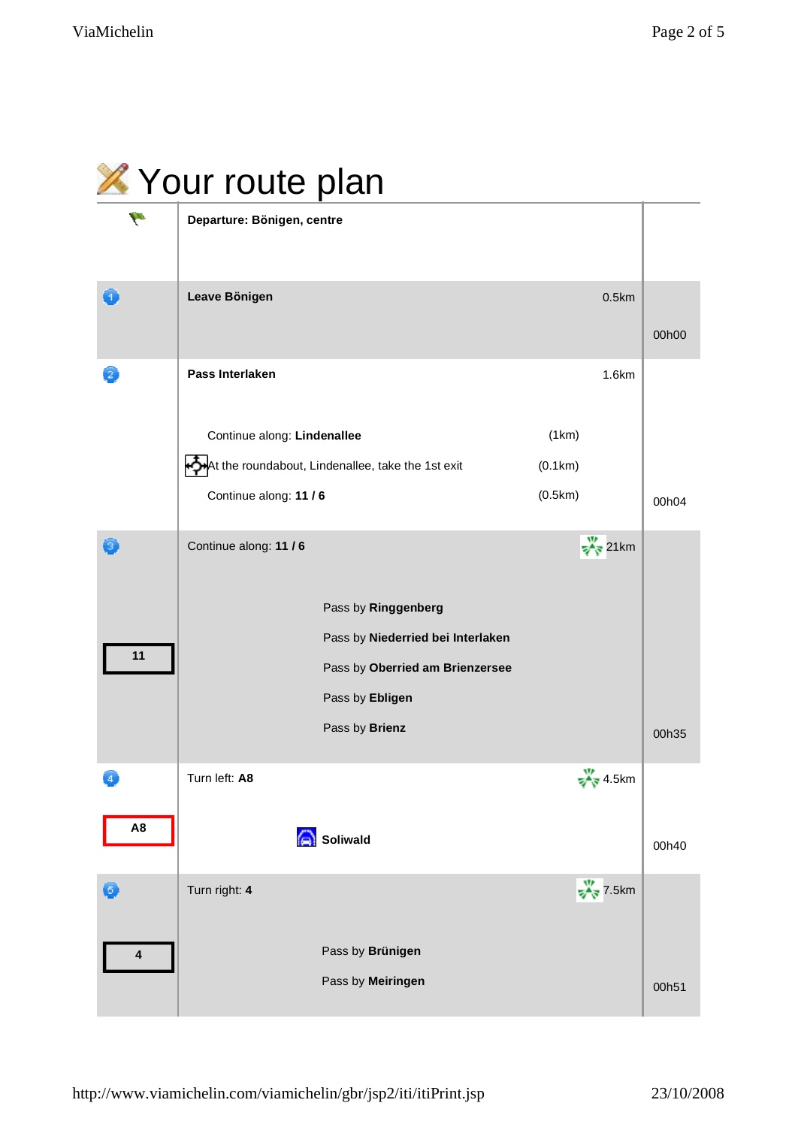|      | X Your route plan                                 |                                                                                                                |                            |       |
|------|---------------------------------------------------|----------------------------------------------------------------------------------------------------------------|----------------------------|-------|
| h    | Departure: Bönigen, centre                        |                                                                                                                |                            |       |
| E 1. | Leave Bönigen                                     |                                                                                                                | 0.5km                      | 00h00 |
|      | Pass Interlaken                                   |                                                                                                                | 1.6km                      |       |
|      | Continue along: Lindenallee                       |                                                                                                                | (1km)                      |       |
|      | At the roundabout, Lindenallee, take the 1st exit |                                                                                                                | (0.1km)                    |       |
|      | Continue along: 11 / 6                            |                                                                                                                | (0.5km)                    | 00h04 |
| 13.  | Continue along: 11 / 6                            |                                                                                                                | $\frac{W}{\sqrt{N}}$ 21km  |       |
| 11   |                                                   | Pass by Ringgenberg<br>Pass by Niederried bei Interlaken<br>Pass by Oberried am Brienzersee<br>Pass by Ebligen |                            |       |
|      |                                                   | Pass by Brienz                                                                                                 |                            | 00h35 |
|      | Turn left: A8                                     |                                                                                                                | $\frac{W}{\sqrt{8}}$ 4.5km |       |
| A8   | <b>Soliwald</b>                                   |                                                                                                                |                            | 00h40 |
| 0    | Turn right: 4                                     |                                                                                                                | $\frac{W}{\sqrt{8}}$ 7.5km |       |
| 4    |                                                   | Pass by Brünigen                                                                                               |                            |       |
|      |                                                   | Pass by Meiringen                                                                                              |                            | 00h51 |

## $\triangle$   $\triangle$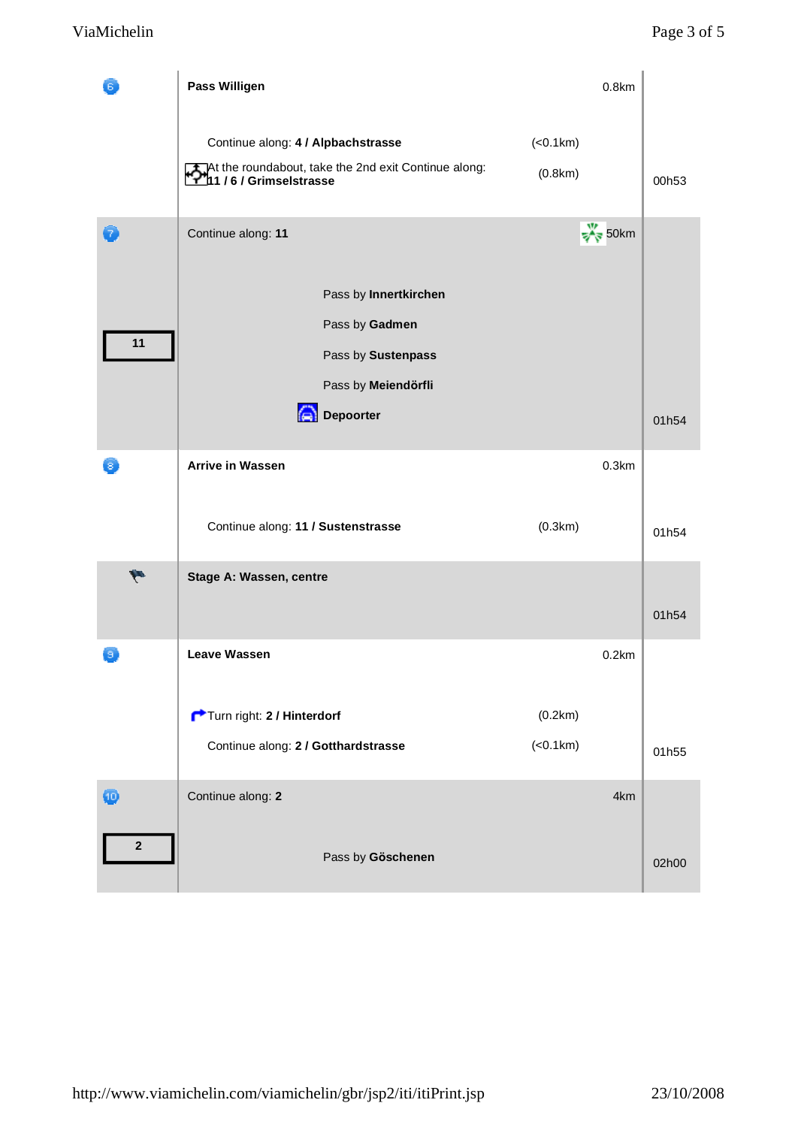|                  | Pass Willigen                                                                                                     | 0.8 <sub>km</sub>         |       |
|------------------|-------------------------------------------------------------------------------------------------------------------|---------------------------|-------|
|                  | Continue along: 4 / Alpbachstrasse<br>At the roundabout, take the 2nd exit Continue along:<br>11/6/Grimselstrasse | (<0.1km)<br>(0.8km)       | 00h53 |
| 7                | Continue along: 11                                                                                                | $\frac{W}{\sqrt{8}}$ 50km |       |
| 11               | Pass by Innertkirchen<br>Pass by Gadmen<br>Pass by Sustenpass<br>Pass by Meiendörfli                              |                           |       |
|                  | Depoorter                                                                                                         |                           | 01h54 |
| 8                | <b>Arrive in Wassen</b>                                                                                           | 0.3km                     |       |
|                  | Continue along: 11 / Sustenstrasse                                                                                | (0.3km)                   | 01h54 |
| $\mathbf{w}$     | Stage A: Wassen, centre                                                                                           |                           | 01h54 |
| э                | <b>Leave Wassen</b>                                                                                               | 0.2km                     |       |
|                  | Turn right: 2 / Hinterdorf<br>Continue along: 2 / Gotthardstrasse                                                 | (0.2km)<br>( < 0.1 km)    | 01h55 |
| $\bf \Phi$       | Continue along: 2                                                                                                 | 4km                       |       |
| $\boldsymbol{2}$ | Pass by Göschenen                                                                                                 |                           | 02h00 |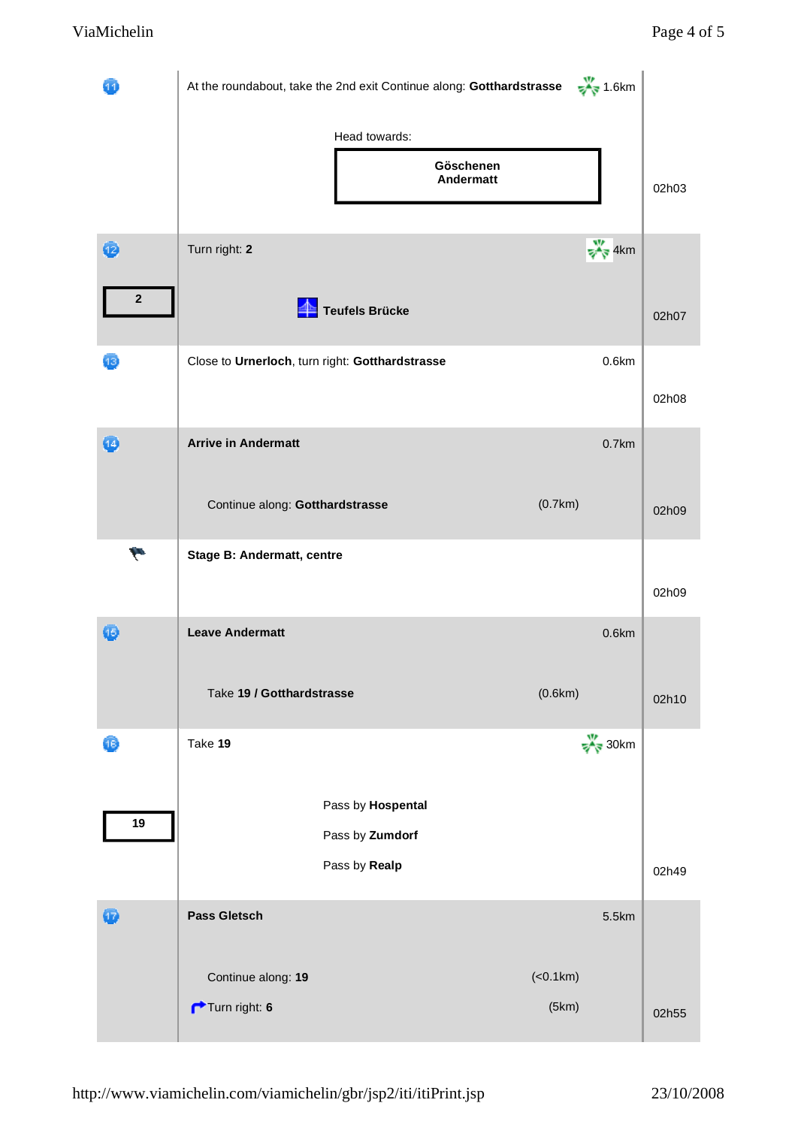|                       | At the roundabout, take the 2nd exit Continue along: Gotthardstrasse $\frac{1}{2}$ 1.6km |                           |       |
|-----------------------|------------------------------------------------------------------------------------------|---------------------------|-------|
|                       | Head towards:<br>Göschenen<br>Andermatt                                                  |                           | 02h03 |
| 2<br>$\boldsymbol{2}$ | Turn right: 2<br>Teufels Brücke                                                          | $\frac{W}{\sqrt{2}}$ 4km  | 02h07 |
| 13                    | Close to Urnerloch, turn right: Gotthardstrasse                                          | 0.6km                     | 02h08 |
| $\left( 4\right)$     | <b>Arrive in Andermatt</b><br>Continue along: Gotthardstrasse                            | $0.7$ km<br>(0.7km)       | 02h09 |
| H                     | <b>Stage B: Andermatt, centre</b>                                                        |                           | 02h09 |
| Œ                     | <b>Leave Andermatt</b><br>Take 19 / Gotthardstrasse                                      | 0.6km<br>(0.6km)          | 02h10 |
| 16)                   | Take 19                                                                                  | $\frac{W}{\sqrt{N}}$ 30km |       |
| 19                    | Pass by Hospental<br>Pass by Zumdorf<br>Pass by Realp                                    |                           | 02h49 |
| $\mathbf{u}$          | Pass Gletsch                                                                             | 5.5km                     |       |
|                       | Continue along: 19<br>Turn right: 6                                                      | (<0.1km)<br>(5km)         | 02h55 |